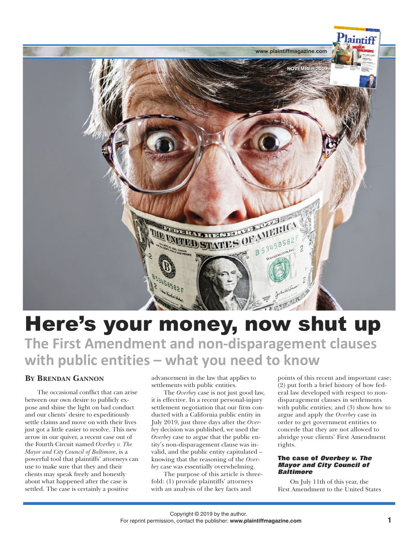

# Here's your money, now shut up **The First Amendment and non-disparagement clauses with public entities – what you need to know**

# **BY BRENDAN GANNON**

The occasional conflict that can arise between our own desire to publicly expose and shine the light on bad conduct and our clients' desire to expeditiously settle claims and move on with their lives just got a little easier to resolve. This new arrow in our quiver, a recent case out of the Fourth Circuit named *Overbey v. The Mayor and City Council of Baltimore*, is a powerful tool that plaintiffs' attorneys can use to make sure that they and their clients may speak freely and honestly about what happened after the case is settled. The case is certainly a positive

advancement in the law that applies to settlements with public entities.

The *Overbey* case is not just good law, it is effective. In a recent personal-injury settlement negotiation that our firm conducted with a California public entity in July 2019, just three days after the *Overbey* decision was published, we used the *Overbey* case to argue that the public entity's non-disparagement clause was invalid, and the public entity capitulated – knowing that the reasoning of the *Overbey* case was essentially overwhelming.

The purpose of this article is threefold: (1) provide plaintiffs' attorneys with an analysis of the key facts and

points of this recent and important case; (2) put forth a brief history of how federal law developed with respect to nondisparagement clauses in settlements with public entities; and  $(3)$  show how to argue and apply the *Overbey* case in order to get government entities to concede that they are not allowed to abridge your clients' First Amendment rights.

## **The case of Overbey v. The Mayor and City Council of Baltimore**

On July 11th of this year, the First Amendment to the United States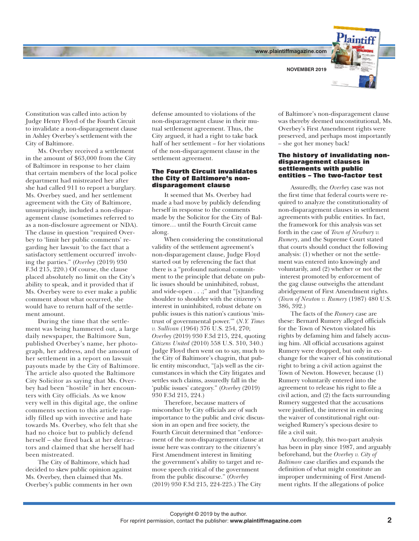**www.plaintiffmagazine.com**



Constitution was called into action by Judge Henry Floyd of the Fourth Circuit to invalidate a non-disparagement clause in Ashley Overbey's settlement with the City of Baltimore.

Ms. Overbey received a settlement in the amount of \$63,000 from the City of Baltimore in response to her claim that certain members of the local police department had mistreated her after she had called 911 to report a burglary. Ms. Overbey sued, and her settlement agreement with the City of Baltimore, unsurprisingly, included a non-disparagement clause (sometimes referred to as a non-disclosure agreement or NDA). The clause in question "required Overbey to 'limit her public comments' regarding her lawsuit 'to the fact that a satisfactory settlement occurred' involving the parties." (*Overbey* (2019) 930 F.3d 215, 220.) Of course, the clause placed absolutely no limit on the City's ability to speak, and it provided that if Ms. Overbey were to ever make a public comment about what occurred, she would have to return half of the settlement amount.

During the time that the settlement was being hammered out, a large daily newspaper, the Baltimore Sun, published Overbey's name, her photograph, her address, and the amount of her settlement in a report on lawsuit payouts made by the City of Baltimore. The article also quoted the Baltimore City Solicitor as saying that Ms. Overbey had been "hostile" in her encounters with City officials. As we know very well in this digital age, the online comments section to this article rapidly filled up with invective and hate towards Ms. Overbey, who felt that she had no choice but to publicly defend herself – she fired back at her detractors and claimed that she herself had been mistreated.

The City of Baltimore, which had decided to skew public opinion against Ms. Overbey, then claimed that Ms. Overbey's public comments in her own defense amounted to violations of the non-disparagement clause in their mutual settlement agreement. Thus, the City argued, it had a right to take back half of her settlement – for her violations of the non-disparagement clause in the settlement agreement.

#### **The Fourth Circuit invalidates the City of Baltimore's nondisparagement clause**

It seemed that Ms. Overbey had made a bad move by publicly defending herself in response to the comments made by the Solicitor for the City of Baltimore… until the Fourth Circuit came along.

When considering the constitutional validity of the settlement agreement's non-disparagement clause, Judge Floyd started out by referencing the fact that there is a "profound national commitment to the principle that debate on public issues should be uninhibited, robust, and wide-open . . .;" and that "[s]tanding shoulder to shoulder with the citizenry's interest in uninhibited, robust debate on public issues is this nation's cautious 'mistrust of governmental power.'" (*N.Y. Times v. Sullivan* (1964) 376 U.S. 254, 270; *Overbey* (2019) 930 F.3d 215, 224, quoting *Citizens United* (2010) 558 U.S. 310, 340.) Judge Floyd then went on to say, much to the City of Baltimore's chagrin, that public entity misconduct, "[a]s well as the circumstances in which the City litigates and settles such claims, assuredly fall in the 'public issues' category." (*Overbey* (2019) 930 F.3d 215, 224.)

Therefore, because matters of misconduct by City officials are of such importance to the public and civic discussion in an open and free society, the Fourth Circuit determined that "enforcement of the non-disparagement clause at issue here was contrary to the citizenry's First Amendment interest in limiting the government's ability to target and remove speech critical of the government from the public discourse." (*Overbey* (2019) 930 F.3d 215, 224-225.) The City

of Baltimore's non-disparagement clause was thereby deemed unconstitutional, Ms. Overbey's First Amendment rights were preserved, and perhaps most importantly – she got her money back!

#### **The history of invalidating nondisparagement clauses in settlements with public entities – The two-factor test**

Assuredly, the *Overbey* case was not the first time that federal courts were required to analyze the constitutionality of non-disparagement clauses in settlement agreements with public entities. In fact, the framework for this analysis was set forth in the case of *Town of Newbury v. Rumery*, and the Supreme Court stated that courts should conduct the following analysis: (1) whether or not the settlement was entered into knowingly and voluntarily, and (2) whether or not the interest promoted by enforcement of the gag clause outweighs the attendant abridgement of First Amendment rights. (*Town of Newton v. Rumery* (1987) 480 U.S. 386, 392.)

The facts of the *Rumery* case are these: Bernard Rumery alleged officials for the Town of Newton violated his rights by defaming him and falsely accusing him. All official accusations against Rumery were dropped, but only in exchange for the waiver of his constitutional right to bring a civil action against the Town of Newton. However, because (1) Rumery voluntarily entered into the agreement to release his right to file a civil action, and (2) the facts surrounding Rumery suggested that the accusations were justified, the interest in enforcing the waiver of constitutional right outweighed Rumery's specious desire to file a civil suit.

Accordingly, this two-part analysis has been in play since 1987, and arguably beforehand, but the *Overbey v. City of Baltimore* case clarifies and expands the definition of what might constitute an improper undermining of First Amendment rights. If the allegations of police